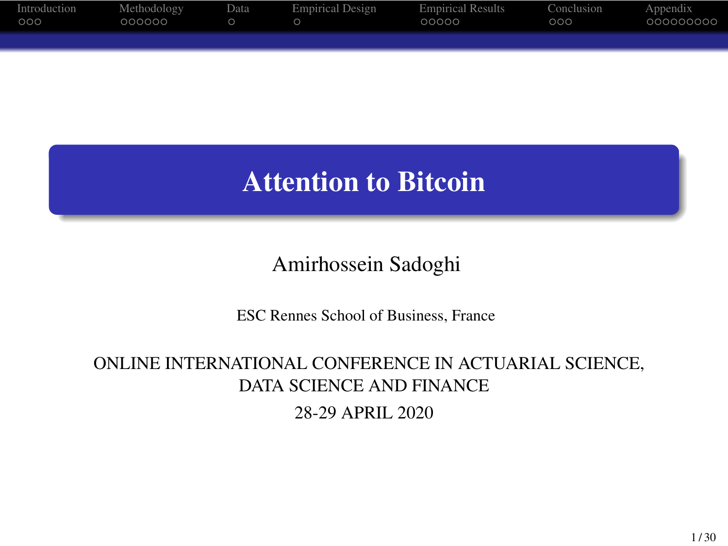

## Attention to Bitcoin

Amirhossein Sadoghi

ESC Rennes School of Business, France

ONLINE INTERNATIONAL CONFERENCE IN ACTUARIAL SCIENCE, DATA SCIENCE AND FINANCE 28-29 APRIL 2020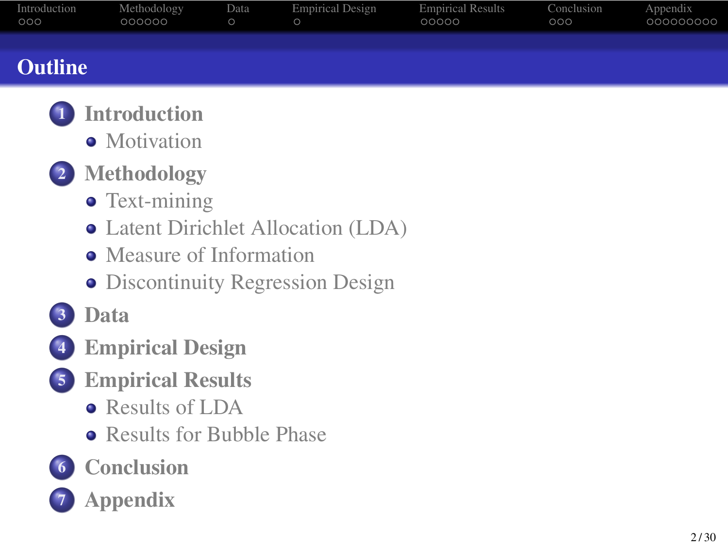#### **Outline**

- <sup>1</sup> Introduction
	- Motivation
- 2 Methodology
	- Text-mining
	- Latent Dirichlet Allocation (LDA)
	- Measure of Information
	- **·** Discontinuity Regression Design
- 3 Data
- 4 Empirical Design
- 5 Empirical Results
	- Results of LDA
	- Results for Bubble Phase
- 6 Conclusion
- 7 Appendix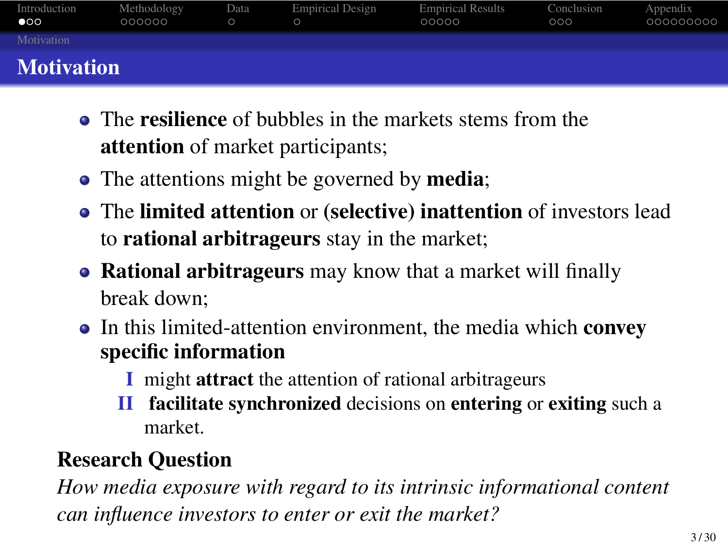#### **Motivation**

- The resilience of bubbles in the markets stems from the attention of market participants;
- The attentions might be governed by media;
- The limited attention or (selective) inattention of investors lead to rational arbitrageurs stay in the market;
- Rational arbitrageurs may know that a market will finally break down;
- In this limited-attention environment, the media which convey specific information
	- I might attract the attention of rational arbitrageurs
	- II facilitate synchronized decisions on entering or exiting such a market.

#### Research Question

*How media exposure with regard to its intrinsic informational content can influence investors to enter or exit the market?*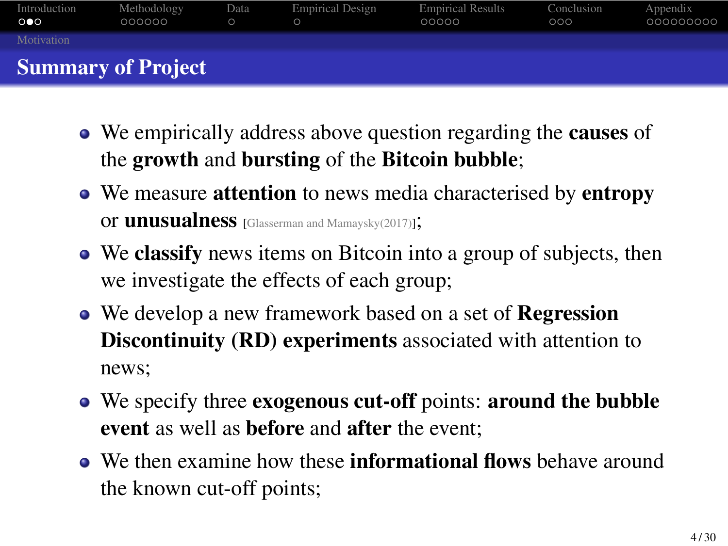- We empirically address above question regarding the causes of the growth and bursting of the Bitcoin bubble;
- We measure attention to news media characterised by entropy or unusualness [Glasserman and Mamaysky(2017)];
- We classify news items on Bitcoin into a group of subjects, then we investigate the effects of each group;
- We develop a new framework based on a set of Regression Discontinuity (RD) experiments associated with attention to news;
- We specify three exogenous cut-off points: around the bubble event as well as before and after the event;
- We then examine how these informational flows behave around the known cut-off points;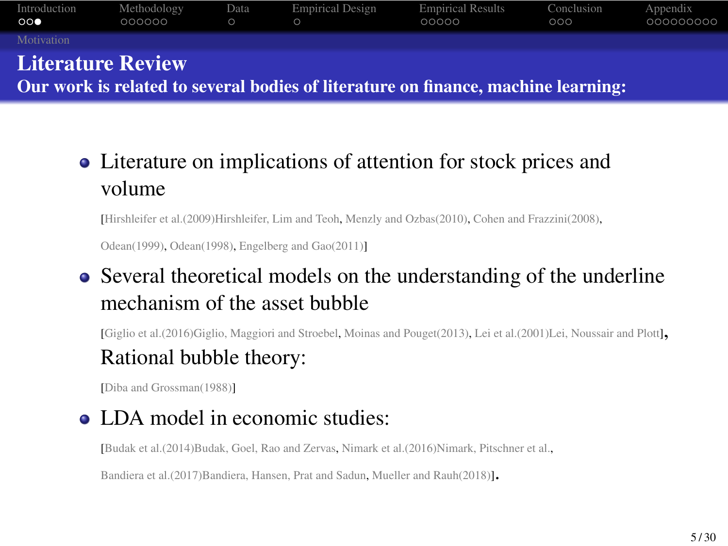Our work is related to several bodies of literature on finance, machine learning:

Literature on implications of attention for stock prices and volume

[Hirshleifer et al.(2009)Hirshleifer, Lim and Teoh, Menzly and Ozbas(2010), Cohen and Frazzini(2008), Odean(1999), Odean(1998), Engelberg and Gao(2011)]

Several theoretical models on the understanding of the underline mechanism of the asset bubble

[Giglio et al.(2016)Giglio, Maggiori and Stroebel, Moinas and Pouget(2013), Lei et al.(2001)Lei, Noussair and Plott],

#### Rational bubble theory:

[Diba and Grossman(1988)]

• LDA model in economic studies:

[Budak et al.(2014)Budak, Goel, Rao and Zervas, Nimark et al.(2016)Nimark, Pitschner et al.,

Bandiera et al.(2017)Bandiera, Hansen, Prat and Sadun, Mueller and Rauh(2018)].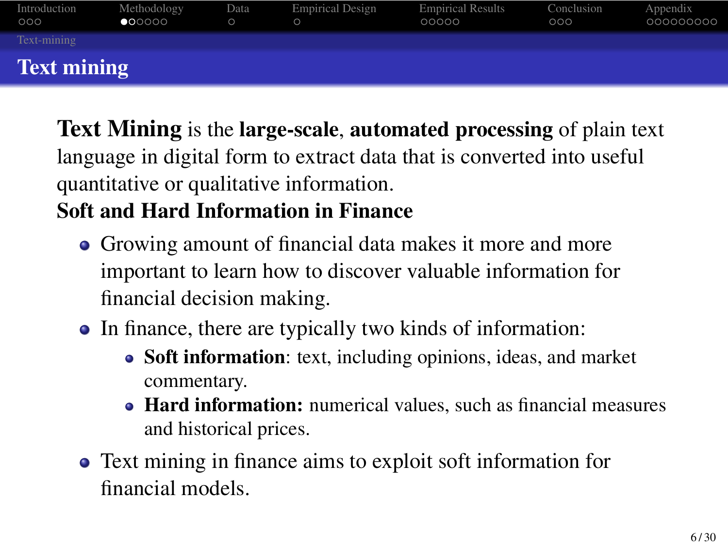Text Mining is the large-scale, automated processing of plain text language in digital form to extract data that is converted into useful quantitative or qualitative information.

#### Soft and Hard Information in Finance

- Growing amount of financial data makes it more and more important to learn how to discover valuable information for financial decision making.
- In finance, there are typically two kinds of information:
	- Soft information: text, including opinions, ideas, and market commentary.
	- Hard information: numerical values, such as financial measures and historical prices.
- Text mining in finance aims to exploit soft information for financial models.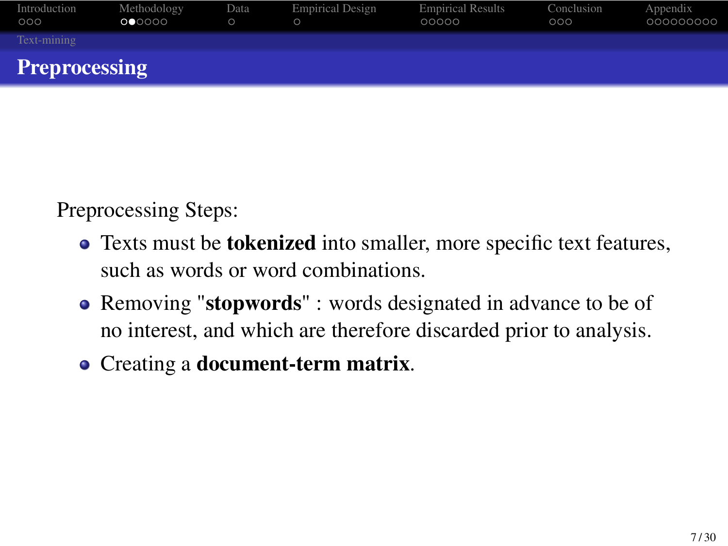

Preprocessing Steps:

- Texts must be tokenized into smaller, more specific text features, such as words or word combinations.
- Removing "stopwords" : words designated in advance to be of no interest, and which are therefore discarded prior to analysis.
- Creating a document-term matrix.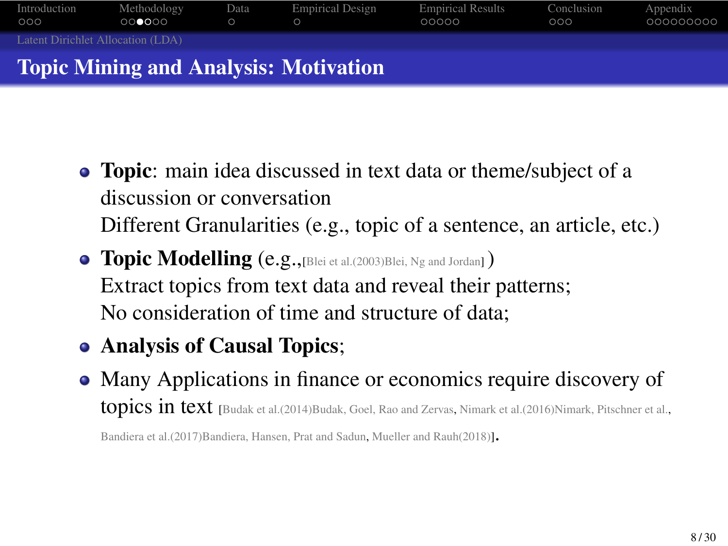#### Introduction Methodology Data Empirical Design Empirical Results Conclusion Appendix Latent Dirichlet Allocation (LDA) Topic Mining and Analysis: Motivation

- Topic: main idea discussed in text data or theme/subject of a discussion or conversation Different Granularities (e.g., topic of a sentence, an article, etc.)
- Topic Modelling (e.g.,[Blei et al.(2003)Blei, Ng and Jordan] ) Extract topics from text data and reveal their patterns; No consideration of time and structure of data;
- Analysis of Causal Topics;
- Many Applications in finance or economics require discovery of topics in text [Budak et al.(2014)Budak, Goel, Rao and Zervas, Nimark et al.(2016)Nimark, Pitschner et al.,

Bandiera et al.(2017)Bandiera, Hansen, Prat and Sadun, Mueller and Rauh(2018)].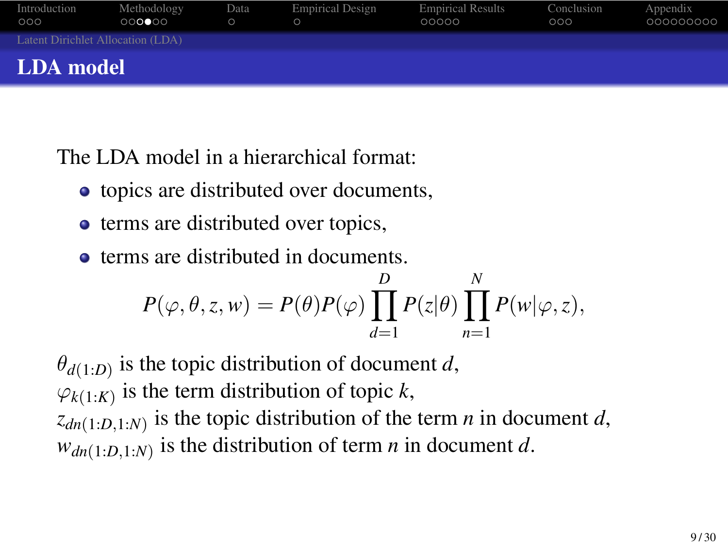#### Introduction Methodology Data Empirical Design Empirical Results Conclusion Appendix Latent Dirichlet Allocation (LDA) LDA model

The LDA model in a hierarchical format:

- $\bullet$  topics are distributed over documents,
- terms are distributed over topics,
- terms are distributed in documents.

$$
P(\varphi, \theta, z, w) = P(\theta)P(\varphi) \prod_{d=1}^{D} P(z|\theta) \prod_{n=1}^{N} P(w|\varphi, z),
$$

*θd*(1:*D*) is the topic distribution of document *d*,

 $\varphi_{k(1:K)}$  is the term distribution of topic *k*,

 $z_{dn(1:D,1:N)}$  is the topic distribution of the term *n* in document *d*,  $w_{dn(1:D,1:N)}$  is the distribution of term *n* in document *d*.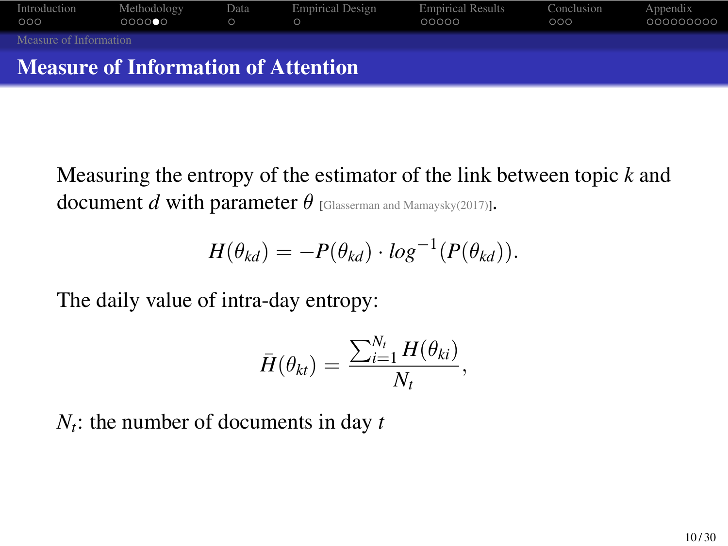

Measuring the entropy of the estimator of the link between topic *k* and document *d* with parameter *θ* [Glasserman and Mamaysky(2017)].

$$
H(\theta_{kd}) = -P(\theta_{kd}) \cdot \log^{-1}(P(\theta_{kd})).
$$

The daily value of intra-day entropy:

$$
\bar{H}(\theta_{kt}) = \frac{\sum_{i=1}^{N_t} H(\theta_{ki})}{N_t},
$$

*Nt* : the number of documents in day *t*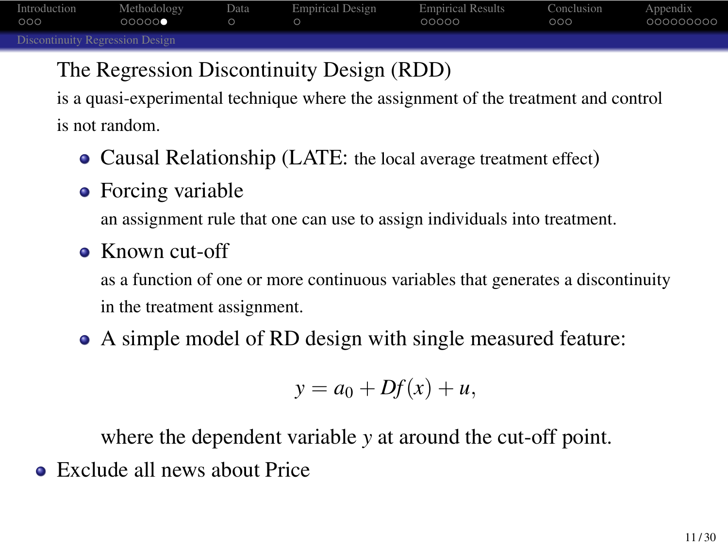#### The Regression Discontinuity Design (RDD)

is a quasi-experimental technique where the assignment of the treatment and control is not random.

- Causal Relationship (LATE: the local average treatment effect)
- Forcing variable an assignment rule that one can use to assign individuals into treatment.
- Known cut-off as a function of one or more continuous variables that generates a discontinuity in the treatment assignment.
- A simple model of RD design with single measured feature:

$$
y = a_0 + Df(x) + u,
$$

where the dependent variable *y* at around the cut-off point.

Exclude all news about Price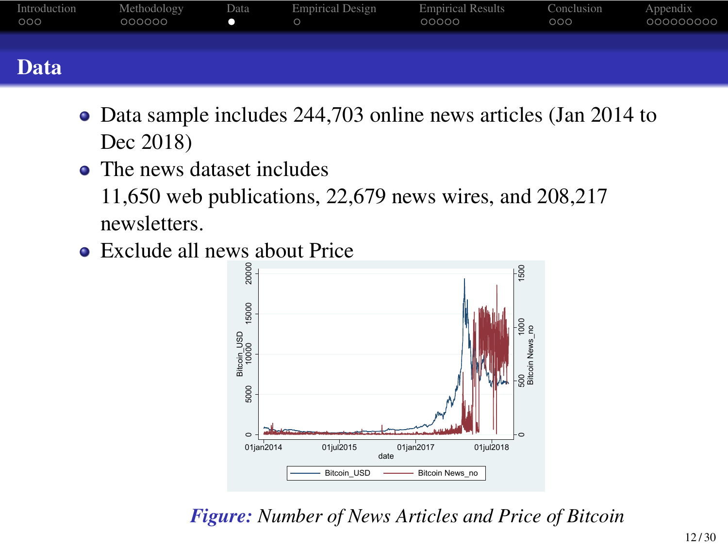- Data sample includes 244,703 online news articles (Jan 2014 to Dec 2018)
- The news dataset includes 11,650 web publications, 22,679 news wires, and 208,217 newsletters.
- Exclude all news about Price



*Figure: Number of News Articles and Price of Bitcoin*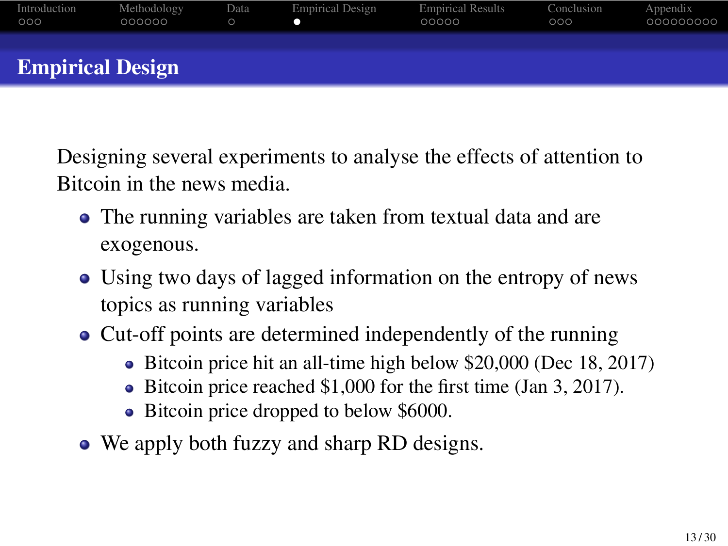Designing several experiments to analyse the effects of attention to Bitcoin in the news media.

- The running variables are taken from textual data and are exogenous.
- Using two days of lagged information on the entropy of news topics as running variables
- Cut-off points are determined independently of the running
	- Bitcoin price hit an all-time high below \$20,000 (Dec 18, 2017)
	- Bitcoin price reached \$1,000 for the first time (Jan 3, 2017).
	- Bitcoin price dropped to below \$6000.
- We apply both fuzzy and sharp RD designs.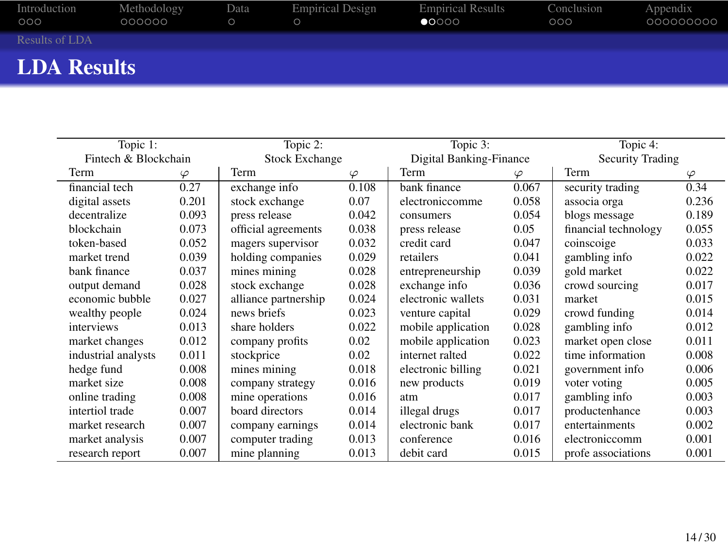| Topic 1:             |           | Topic 2:              |           | Topic 3:                |       | Topic 4:             |           |
|----------------------|-----------|-----------------------|-----------|-------------------------|-------|----------------------|-----------|
| Fintech & Blockchain |           | <b>Stock Exchange</b> |           | Digital Banking-Finance |       | Security Trading     |           |
| Term                 | $\varphi$ | Term                  | $\varphi$ | Term                    | φ     | Term                 | $\varphi$ |
| financial tech       | 0.27      | exchange info         | 0.108     | bank finance            | 0.067 | security trading     | 0.34      |
| digital assets       | 0.201     | stock exchange        | 0.07      | electroniccomme         | 0.058 | associa orga         | 0.236     |
| decentralize         | 0.093     | press release         | 0.042     | consumers               | 0.054 | blogs message        | 0.189     |
| blockchain           | 0.073     | official agreements   | 0.038     | press release           | 0.05  | financial technology | 0.055     |
| token-based          | 0.052     | magers supervisor     | 0.032     | credit card             | 0.047 | coinscoige           | 0.033     |
| market trend         | 0.039     | holding companies     | 0.029     | retailers               | 0.041 | gambling info        | 0.022     |
| bank finance         | 0.037     | mines mining          | 0.028     | entrepreneurship        | 0.039 | gold market          | 0.022     |
| output demand        | 0.028     | stock exchange        | 0.028     | exchange info           | 0.036 | crowd sourcing       | 0.017     |
| economic bubble      | 0.027     | alliance partnership  | 0.024     | electronic wallets      | 0.031 | market               | 0.015     |
| wealthy people       | 0.024     | news briefs           | 0.023     | venture capital         | 0.029 | crowd funding        | 0.014     |
| interviews           | 0.013     | share holders         | 0.022     | mobile application      | 0.028 | gambling info        | 0.012     |
| market changes       | 0.012     | company profits       | 0.02      | mobile application      | 0.023 | market open close    | 0.011     |
| industrial analysts  | 0.011     | stockprice            | 0.02      | internet ralted         | 0.022 | time information     | 0.008     |
| hedge fund           | 0.008     | mines mining          | 0.018     | electronic billing      | 0.021 | government info      | 0.006     |
| market size          | 0.008     | company strategy      | 0.016     | new products            | 0.019 | voter voting         | 0.005     |
| online trading       | 0.008     | mine operations       | 0.016     | atm                     | 0.017 | gambling info        | 0.003     |
| intertiol trade      | 0.007     | board directors       | 0.014     | illegal drugs           | 0.017 | productenhance       | 0.003     |
| market research      | 0.007     | company earnings      | 0.014     | electronic bank         | 0.017 | entertainments       | 0.002     |
| market analysis      | 0.007     | computer trading      | 0.013     | conference              | 0.016 | electroniccomm       | 0.001     |
| research report      | 0.007     | mine planning         | 0.013     | debit card              | 0.015 | profe associations   | 0.001     |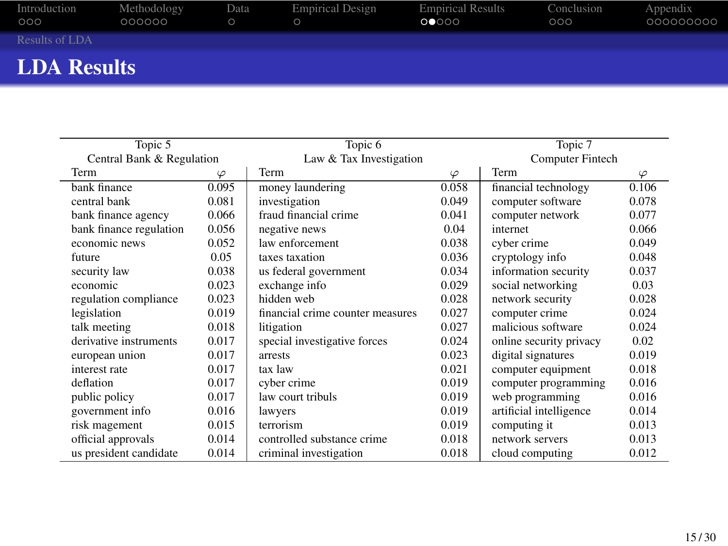| Topic 5                   |       | Topic 6                          |       | Topic 7                 |       |
|---------------------------|-------|----------------------------------|-------|-------------------------|-------|
| Central Bank & Regulation |       | Law & Tax Investigation          |       | <b>Computer Fintech</b> |       |
| Term<br>$\varphi$         |       | Term                             | φ     | Term                    | φ     |
| bank finance              | 0.095 | money laundering                 | 0.058 | financial technology    | 0.106 |
| central bank              | 0.081 | investigation                    | 0.049 | computer software       | 0.078 |
| bank finance agency       | 0.066 | fraud financial crime            | 0.041 | computer network        | 0.077 |
| bank finance regulation   | 0.056 | negative news                    | 0.04  | internet                | 0.066 |
| economic news             | 0.052 | law enforcement                  | 0.038 | cyber crime             | 0.049 |
| future                    | 0.05  | taxes taxation                   | 0.036 | cryptology info         | 0.048 |
| security law              | 0.038 | us federal government            | 0.034 | information security    | 0.037 |
| economic                  | 0.023 | exchange info                    | 0.029 | social networking       | 0.03  |
| regulation compliance     | 0.023 | hidden web                       | 0.028 | network security        | 0.028 |
| legislation               | 0.019 | financial crime counter measures | 0.027 | computer crime          | 0.024 |
| talk meeting              | 0.018 | litigation                       | 0.027 | malicious software      | 0.024 |
| derivative instruments    | 0.017 | special investigative forces     | 0.024 | online security privacy | 0.02  |
| european union            | 0.017 | arrests                          | 0.023 | digital signatures      | 0.019 |
| interest rate             | 0.017 | tax law                          | 0.021 | computer equipment      | 0.018 |
| deflation                 | 0.017 | cyber crime                      | 0.019 | computer programming    | 0.016 |
| public policy             | 0.017 | law court tribuls                | 0.019 | web programming         | 0.016 |
| government info           | 0.016 | lawyers                          | 0.019 | artificial intelligence | 0.014 |
| risk magement             | 0.015 | terrorism                        | 0.019 | computing it            | 0.013 |
| official approvals        | 0.014 | controlled substance crime       | 0.018 | network servers         | 0.013 |
| us president candidate    | 0.014 | criminal investigation           | 0.018 | cloud computing         | 0.012 |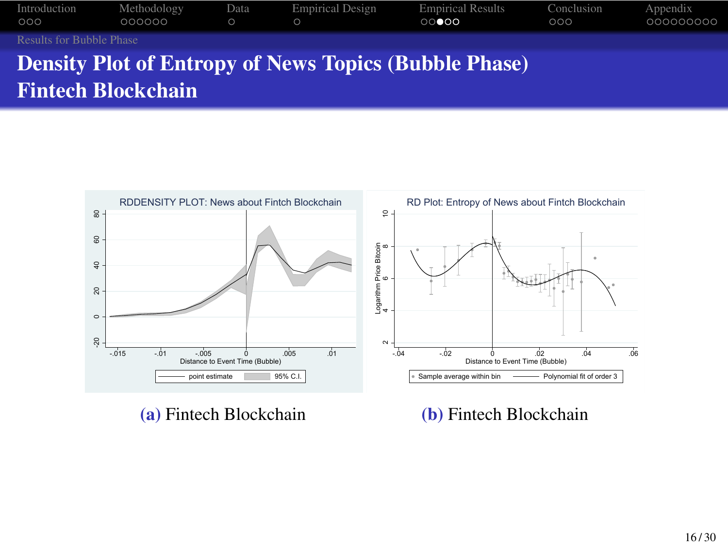





(b) Fintech Blockchain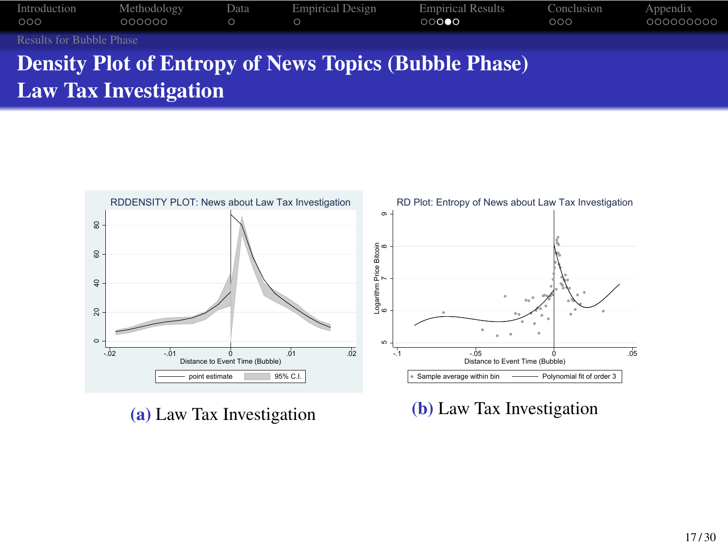



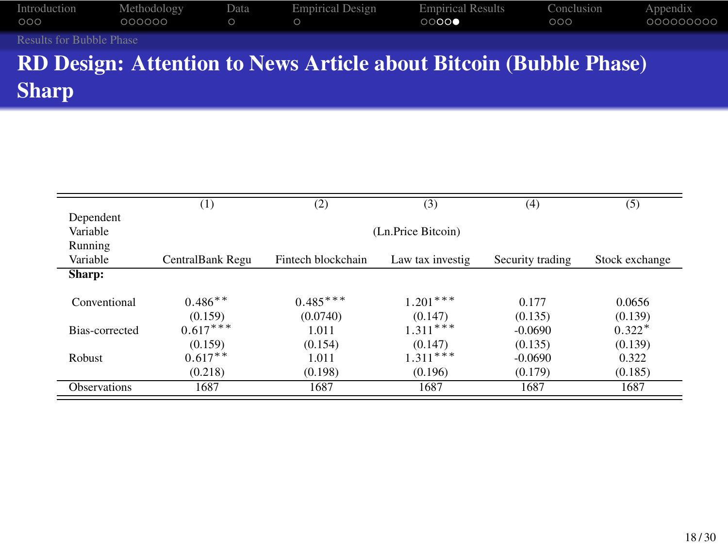#### Introduction Methodology Data Empirical Design Empirical Results Conclusion Appendix Introdu<br>000<br>Results

RD Design: Attention to News Article about Bitcoin (Bubble Phase) Sharp

|                     | (1)                | (2)                | (3)              | (4)              | (5)            |  |  |  |
|---------------------|--------------------|--------------------|------------------|------------------|----------------|--|--|--|
| Dependent           |                    |                    |                  |                  |                |  |  |  |
| Variable            | (Ln.Price Bitcoin) |                    |                  |                  |                |  |  |  |
| Running             |                    |                    |                  |                  |                |  |  |  |
| Variable            | CentralBank Regu   | Fintech blockchain | Law tax investig | Security trading | Stock exchange |  |  |  |
| Sharp:              |                    |                    |                  |                  |                |  |  |  |
| Conventional        | $0.486**$          | $0.485***$         | $1.201***$       | 0.177            | 0.0656         |  |  |  |
|                     | (0.159)            | (0.0740)           | (0.147)          | (0.135)          | (0.139)        |  |  |  |
| Bias-corrected      | $0.617***$         | 1.011              | $1.311***$       | $-0.0690$        | $0.322*$       |  |  |  |
|                     | (0.159)            | (0.154)            | (0.147)          | (0.135)          | (0.139)        |  |  |  |
| Robust              | $0.617**$          | 1.011              | $1.311***$       | $-0.0690$        | 0.322          |  |  |  |
|                     | (0.218)            | (0.198)            | (0.196)          | (0.179)          | (0.185)        |  |  |  |
| <b>Observations</b> | 1687               | 1687               | 1687             | 1687             | 1687           |  |  |  |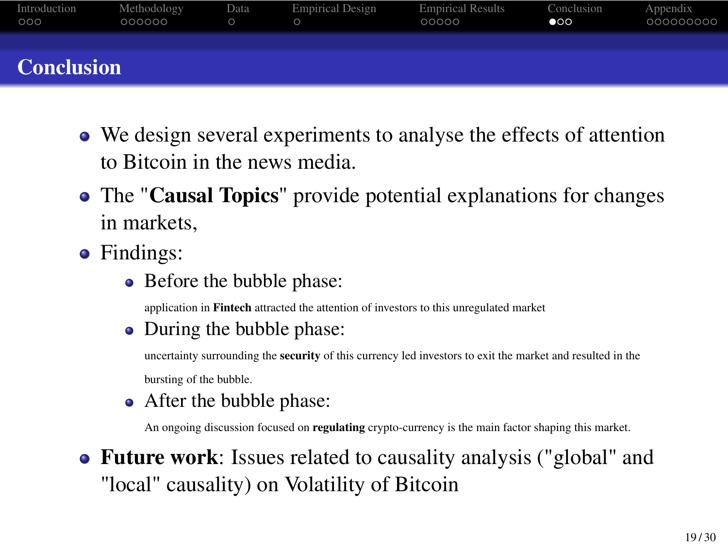- We design several experiments to analyse the effects of attention to Bitcoin in the news media.
- The "Causal Topics" provide potential explanations for changes in markets,
- Findings:
	- Before the bubble phase: application in Fintech attracted the attention of investors to this unregulated market
	- During the bubble phase: uncertainty surrounding the security of this currency led investors to exit the market and resulted in the bursting of the bubble.
	- After the bubble phase: An ongoing discussion focused on regulating crypto-currency is the main factor shaping this market.
- Future work: Issues related to causality analysis ("global" and "local" causality) on Volatility of Bitcoin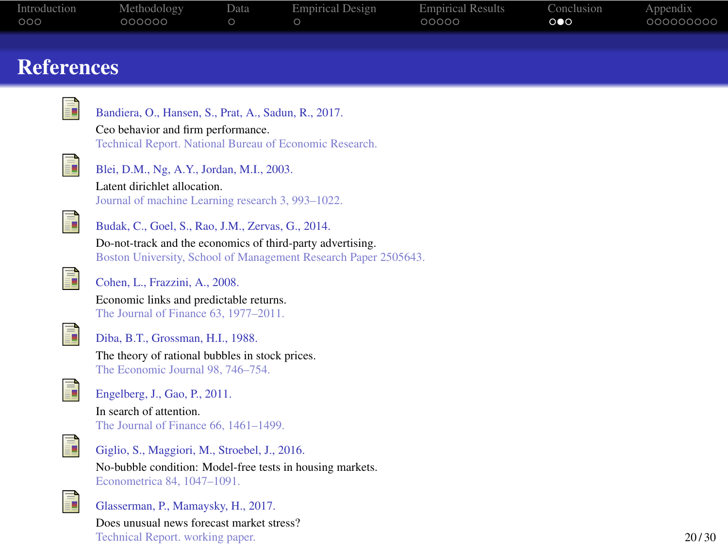| ပပပ               | <b>OOOOOO</b><br>O<br>O                                                                       | <b>OOOOO</b> | $\circ \bullet \circ$ | <u>oooooooo</u> |
|-------------------|-----------------------------------------------------------------------------------------------|--------------|-----------------------|-----------------|
|                   |                                                                                               |              |                       |                 |
| <b>References</b> |                                                                                               |              |                       |                 |
|                   |                                                                                               |              |                       |                 |
|                   | ì<br>Bandiera, O., Hansen, S., Prat, A., Sadun, R., 2017.                                     |              |                       |                 |
|                   |                                                                                               |              |                       |                 |
|                   | Ceo behavior and firm performance.<br>Technical Report. National Bureau of Economic Research. |              |                       |                 |
|                   |                                                                                               |              |                       |                 |
|                   | F<br>Blei, D.M., Ng, A.Y., Jordan, M.I., 2003.                                                |              |                       |                 |
|                   | Latent dirichlet allocation.                                                                  |              |                       |                 |
|                   | Journal of machine Learning research 3, 993-1022.                                             |              |                       |                 |
|                   | F<br>Budak, C., Goel, S., Rao, J.M., Zervas, G., 2014.                                        |              |                       |                 |
|                   | Do-not-track and the economics of third-party advertising.                                    |              |                       |                 |
|                   | Boston University, School of Management Research Paper 2505643.                               |              |                       |                 |
|                   | F<br>Cohen, L., Frazzini, A., 2008.                                                           |              |                       |                 |
|                   | Economic links and predictable returns.                                                       |              |                       |                 |
|                   | The Journal of Finance 63, 1977-2011.                                                         |              |                       |                 |
|                   | F<br>Diba, B.T., Grossman, H.I., 1988.                                                        |              |                       |                 |
|                   | The theory of rational bubbles in stock prices.                                               |              |                       |                 |
|                   | The Economic Journal 98, 746-754.                                                             |              |                       |                 |
|                   | Ē<br>Engelberg, J., Gao, P., 2011.                                                            |              |                       |                 |
|                   | In search of attention.                                                                       |              |                       |                 |
|                   | The Journal of Finance 66, 1461-1499.                                                         |              |                       |                 |
|                   | ĥ                                                                                             |              |                       |                 |
|                   | Giglio, S., Maggiori, M., Stroebel, J., 2016.                                                 |              |                       |                 |
|                   | No-bubble condition: Model-free tests in housing markets.                                     |              |                       |                 |
|                   | Econometrica 84, 1047-1091.                                                                   |              |                       |                 |
|                   | T.<br>Glasserman, P., Mamaysky, H., 2017.                                                     |              |                       |                 |
|                   | Does unusual news forecast market stress?                                                     |              |                       |                 |
|                   | Technical Report. working paper.                                                              |              |                       | 20/30           |
|                   |                                                                                               |              |                       |                 |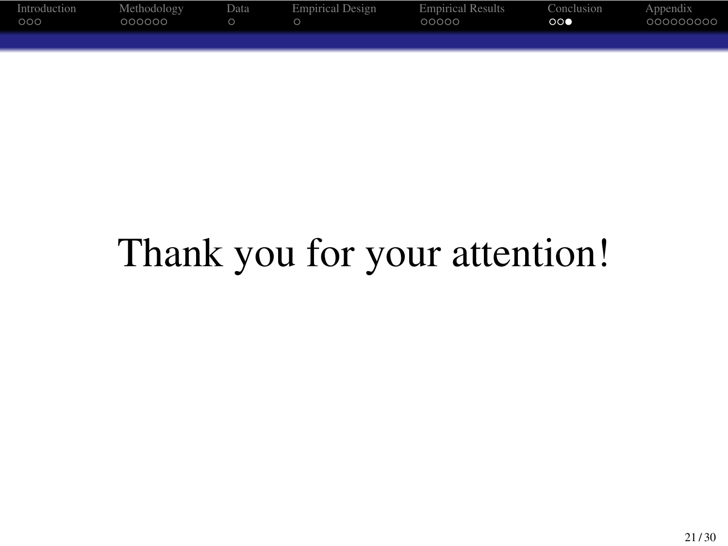

Thank you for your attention!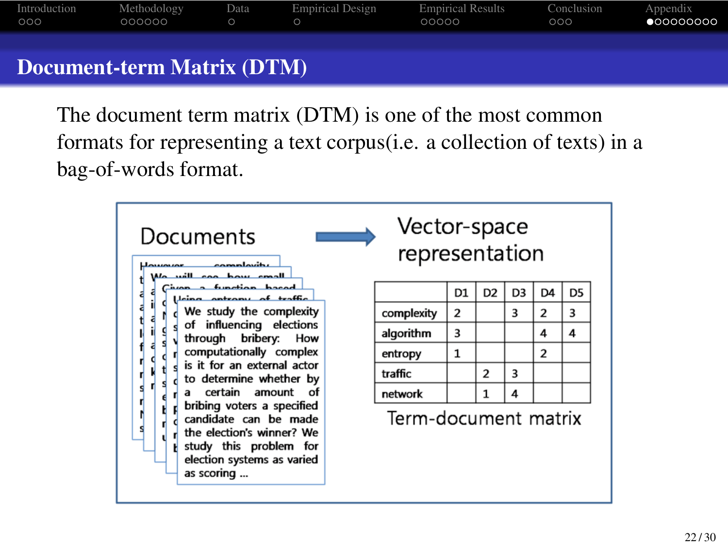

The document term matrix (DTM) is one of the most common formats for representing a text corpus(i.e. a collection of texts) in a bag-of-words format.

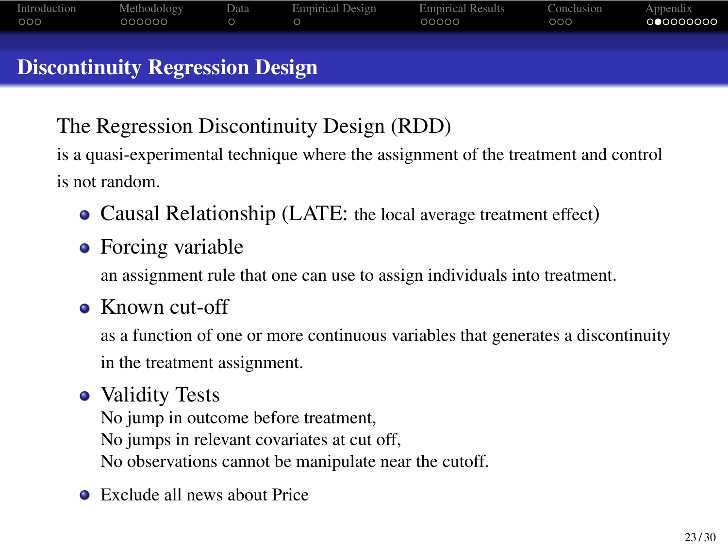

The Regression Discontinuity Design (RDD)

is a quasi-experimental technique where the assignment of the treatment and control is not random.

- Causal Relationship (LATE: the local average treatment effect)
- Forcing variable an assignment rule that one can use to assign individuals into treatment.
- Known cut-off

as a function of one or more continuous variables that generates a discontinuity in the treatment assignment.

#### • Validity Tests

No jump in outcome before treatment, No jumps in relevant covariates at cut off, No observations cannot be manipulate near the cutoff.

Exclude all news about Price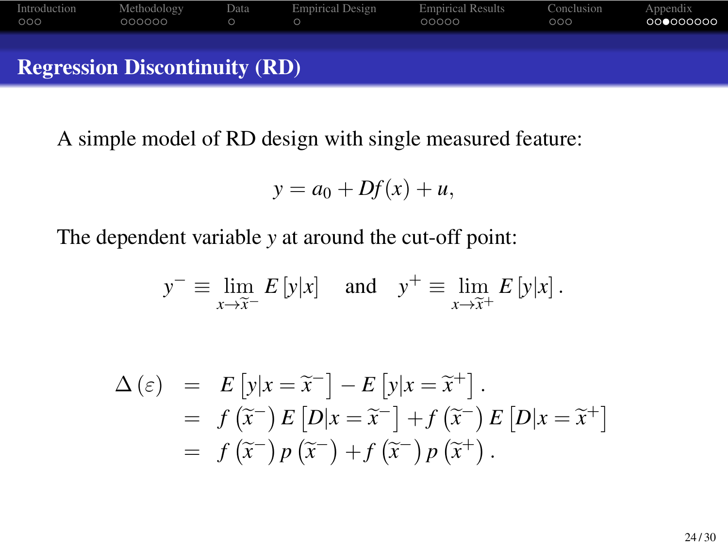

A simple model of RD design with single measured feature:

$$
y = a_0 + Df(x) + u,
$$

The dependent variable *y* at around the cut-off point:

$$
y^{-} \equiv \lim_{x \to \tilde{x}^{-}} E[y|x]
$$
 and  $y^{+} \equiv \lim_{x \to \tilde{x}^{+}} E[y|x]$ .

$$
\Delta(\varepsilon) = E[y|x = \tilde{x}^{-}] - E[y|x = \tilde{x}^{+}].
$$
  
=  $f(\tilde{x}^{-}) E[D|x = \tilde{x}^{-}] + f(\tilde{x}^{-}) E[D|x = \tilde{x}^{+}]$   
=  $f(\tilde{x}^{-}) p(\tilde{x}^{-}) + f(\tilde{x}^{-}) p(\tilde{x}^{+}).$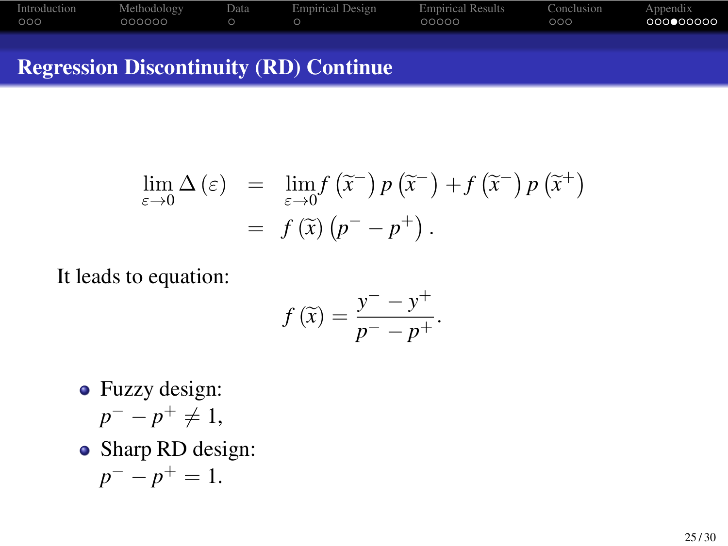Regression Discontinuity (RD) Continue

$$
\lim_{\varepsilon \to 0} \Delta(\varepsilon) = \lim_{\varepsilon \to 0} f(\widetilde{x}^-) p(\widetilde{x}^-) + f(\widetilde{x}^-) p(\widetilde{x}^+) \n= f(\widetilde{x}) (p^- - p^+).
$$

It leads to equation:

$$
f\left(\widetilde{x}\right) = \frac{y^- - y^+}{p^- - p^+}.
$$

- Fuzzy design: *p*<sup>−</sup> *− p*<sup>+</sup>  $\neq$  1,
- Sharp RD design: *p <sup>−</sup> − p* <sup>+</sup> = 1.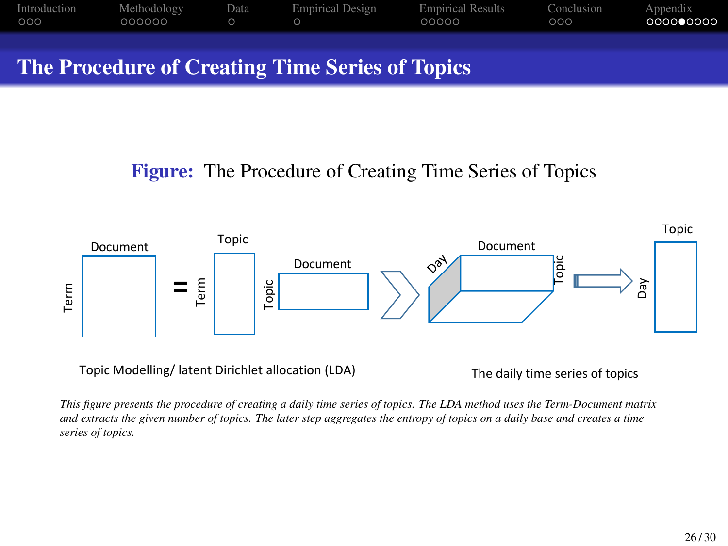

#### Figure: The Procedure of Creating Time Series of Topics



This figure presents the procedure of creating a daily time series of topics. The LDA method uses the Term-Document matrix<br>and extracts the given number of topics. The later step aggregates the entropy of topics on a daily *series of topics.*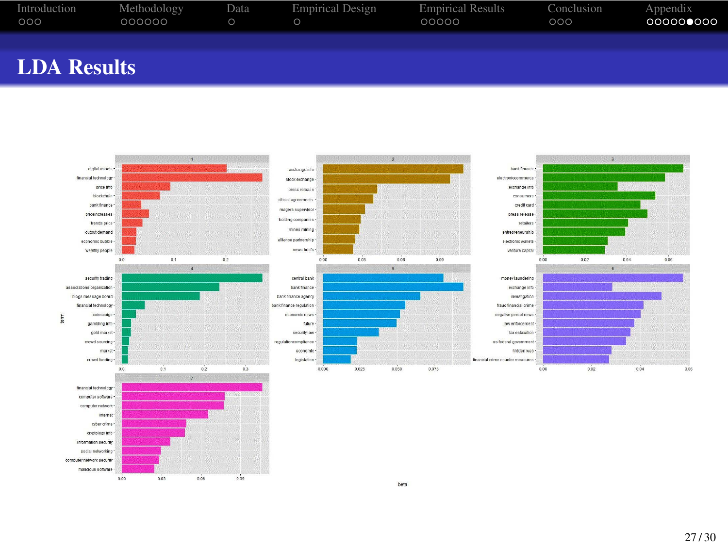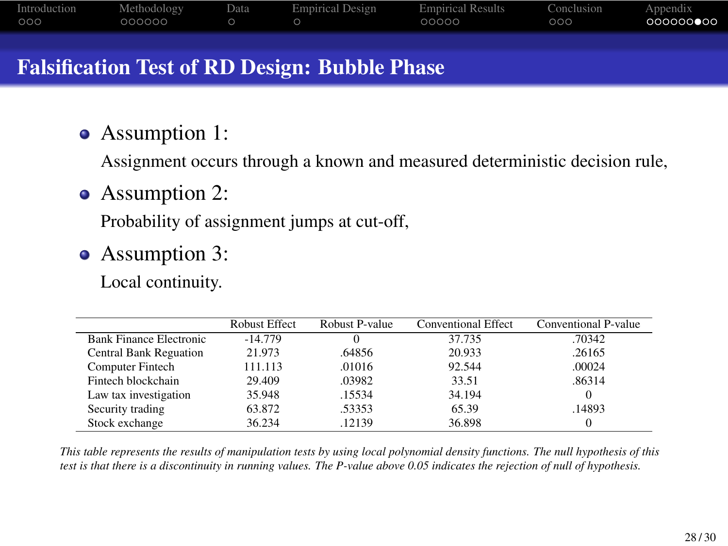#### Falsification Test of RD Design: Bubble Phase

Assumption 1:

Assignment occurs through a known and measured deterministic decision rule,

• Assumption 2:

Probability of assignment jumps at cut-off,

• Assumption 3:

Local continuity.

|                                | <b>Robust Effect</b> | Robust P-value | <b>Conventional Effect</b> | Conventional P-value |
|--------------------------------|----------------------|----------------|----------------------------|----------------------|
| <b>Bank Finance Electronic</b> | $-14.779$            |                | 37.735                     | .70342               |
| <b>Central Bank Reguation</b>  | 21.973               | .64856         | 20.933                     | .26165               |
| <b>Computer Fintech</b>        | 111.113              | .01016         | 92.544                     | .00024               |
| Fintech blockchain             | 29.409               | .03982         | 33.51                      | .86314               |
| Law tax investigation          | 35.948               | .15534         | 34.194                     |                      |
| Security trading               | 63.872               | .53353         | 65.39                      | .14893               |
| Stock exchange                 | 36.234               | .12139         | 36.898                     |                      |

This table represents the results of manipulation tests by using local polynomial density functions. The null hypothesis of this<br>test is that there is a discontinuity in running values. The P-value above 0.05 indicates the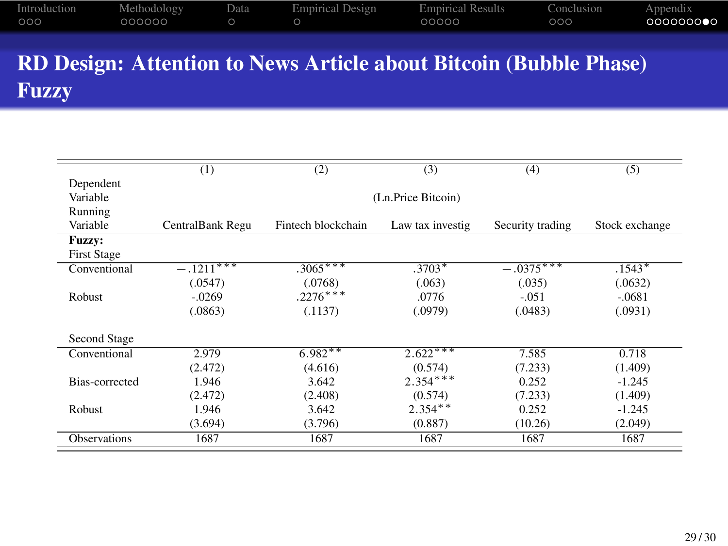RD Design: Attention to News Article about Bitcoin (Bubble Phase) Fuzzy

|                     | (1)              | (2)                | (3)                | (4)              | (5)            |
|---------------------|------------------|--------------------|--------------------|------------------|----------------|
| Dependent           |                  |                    |                    |                  |                |
| Variable            |                  |                    | (Ln.Price Bitcoin) |                  |                |
| Running             |                  |                    |                    |                  |                |
| Variable            | CentralBank Regu | Fintech blockchain | Law tax investig   | Security trading | Stock exchange |
| Fuzzy:              |                  |                    |                    |                  |                |
| <b>First Stage</b>  |                  |                    |                    |                  |                |
| Conventional        | $-.1211***$      | $.3065***$         | $.3703*$           | $-.0375***$      | $.1543*$       |
|                     | (.0547)          | (.0768)            | (.063)             | (.035)           | (.0632)        |
| Robust              | $-.0269$         | $.2276***$         | .0776              | $-.051$          | $-.0681$       |
|                     | (.0863)          | (.1137)            | (.0979)            | (.0483)          | (.0931)        |
| Second Stage        |                  |                    |                    |                  |                |
| Conventional        | 2.979            | $6.982**$          | $2.622***$         | 7.585            | 0.718          |
|                     | (2.472)          | (4.616)            | (0.574)            | (7.233)          | (1.409)        |
| Bias-corrected      | 1.946            | 3.642              | $2.354***$         | 0.252            | $-1.245$       |
|                     | (2.472)          | (2.408)            | (0.574)            | (7.233)          | (1.409)        |
| Robust              | 1.946            | 3.642              | $2.354**$          | 0.252            | $-1.245$       |
|                     | (3.694)          | (3.796)            | (0.887)            | (10.26)          | (2.049)        |
| <b>Observations</b> | 1687             | 1687               | 1687               | 1687             | 1687           |
|                     |                  |                    |                    |                  |                |